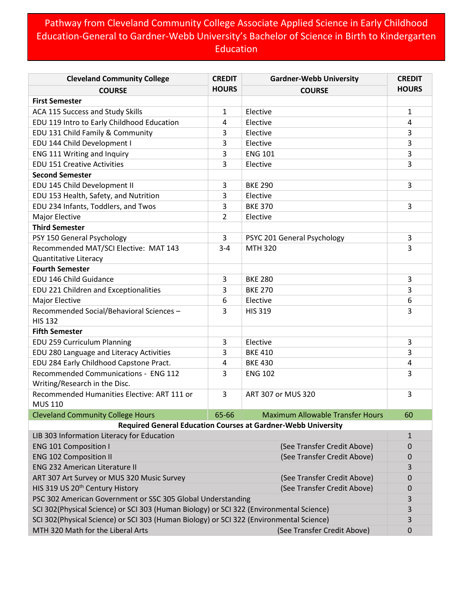## Pathway from Cleveland Community College Associate Applied Science in Early Childhood Education-General to Gardner-Webb University's Bachelor of Science in Birth to Kindergarten Education

| <b>Cleveland Community College</b>                                                                                                                     | <b>CREDIT</b>  | <b>Gardner-Webb University</b>                                       | <b>CREDIT</b>    |
|--------------------------------------------------------------------------------------------------------------------------------------------------------|----------------|----------------------------------------------------------------------|------------------|
| <b>COURSE</b>                                                                                                                                          | <b>HOURS</b>   | <b>COURSE</b>                                                        | <b>HOURS</b>     |
| <b>First Semester</b>                                                                                                                                  |                |                                                                      |                  |
| ACA 115 Success and Study Skills                                                                                                                       | 1              | Elective                                                             | 1                |
| EDU 119 Intro to Early Childhood Education                                                                                                             | 4              | Elective                                                             | 4                |
| EDU 131 Child Family & Community                                                                                                                       | 3              | Elective                                                             | 3                |
| EDU 144 Child Development I                                                                                                                            | 3              | Elective                                                             | 3                |
| ENG 111 Writing and Inquiry                                                                                                                            | 3              | <b>ENG 101</b>                                                       | 3                |
| <b>EDU 151 Creative Activities</b>                                                                                                                     | 3              | Elective                                                             | 3                |
| <b>Second Semester</b>                                                                                                                                 |                |                                                                      |                  |
| EDU 145 Child Development II                                                                                                                           | 3              | <b>BKE 290</b>                                                       | 3                |
| EDU 153 Health, Safety, and Nutrition                                                                                                                  | 3              | Elective                                                             |                  |
| EDU 234 Infants, Toddlers, and Twos                                                                                                                    | 3              | <b>BKE 370</b>                                                       | 3                |
| Major Elective                                                                                                                                         | $\overline{2}$ | Elective                                                             |                  |
| <b>Third Semester</b>                                                                                                                                  |                |                                                                      |                  |
| PSY 150 General Psychology                                                                                                                             | 3              | PSYC 201 General Psychology                                          | 3                |
| Recommended MAT/SCI Elective: MAT 143                                                                                                                  | $3 - 4$        | <b>MTH 320</b>                                                       | 3                |
| <b>Quantitative Literacy</b>                                                                                                                           |                |                                                                      |                  |
| <b>Fourth Semester</b>                                                                                                                                 |                |                                                                      |                  |
| EDU 146 Child Guidance                                                                                                                                 | 3              | <b>BKE 280</b>                                                       | 3                |
| EDU 221 Children and Exceptionalities                                                                                                                  | 3              | <b>BKE 270</b>                                                       | 3                |
| Major Elective                                                                                                                                         | 6              | Elective                                                             | 6                |
| Recommended Social/Behavioral Sciences -<br><b>HIS 132</b>                                                                                             | 3              | <b>HIS 319</b>                                                       | 3                |
| <b>Fifth Semester</b>                                                                                                                                  |                |                                                                      |                  |
| EDU 259 Curriculum Planning                                                                                                                            | 3              | Elective                                                             | 3                |
| EDU 280 Language and Literacy Activities                                                                                                               | 3              | <b>BKE 410</b>                                                       | 3                |
| EDU 284 Early Childhood Capstone Pract.                                                                                                                | 4              | <b>BKE 430</b>                                                       | 4                |
| Recommended Communications - ENG 112                                                                                                                   | 3              | <b>ENG 102</b>                                                       | 3                |
| Writing/Research in the Disc.                                                                                                                          |                |                                                                      |                  |
| Recommended Humanities Elective: ART 111 or<br><b>MUS 110</b>                                                                                          | 3              | ART 307 or MUS 320                                                   | 3                |
| <b>Cleveland Community College Hours</b>                                                                                                               | 65-66          | <b>Maximum Allowable Transfer Hours</b>                              | 60               |
|                                                                                                                                                        |                | <b>Required General Education Courses at Gardner-Webb University</b> |                  |
| LIB 303 Information Literacy for Education                                                                                                             |                |                                                                      | $\mathbf{1}$     |
| <b>ENG 101 Composition I</b>                                                                                                                           |                | (See Transfer Credit Above)                                          | $\mathbf 0$      |
| <b>ENG 102 Composition II</b>                                                                                                                          |                | (See Transfer Credit Above)                                          | $\boldsymbol{0}$ |
| <b>ENG 232 American Literature II</b>                                                                                                                  |                |                                                                      | 3                |
| ART 307 Art Survey or MUS 320 Music Survey                                                                                                             |                | (See Transfer Credit Above)                                          | 0                |
| HIS 319 US 20 <sup>th</sup> Century History                                                                                                            |                | (See Transfer Credit Above)                                          | $\boldsymbol{0}$ |
|                                                                                                                                                        |                |                                                                      | 3                |
| PSC 302 American Government or SSC 305 Global Understanding<br>SCI 302(Physical Science) or SCI 303 (Human Biology) or SCI 322 (Environmental Science) |                |                                                                      | 3                |
| SCI 302(Physical Science) or SCI 303 (Human Biology) or SCI 322 (Environmental Science)                                                                |                |                                                                      | 3                |
| MTH 320 Math for the Liberal Arts                                                                                                                      |                | (See Transfer Credit Above)                                          | $\mathbf 0$      |